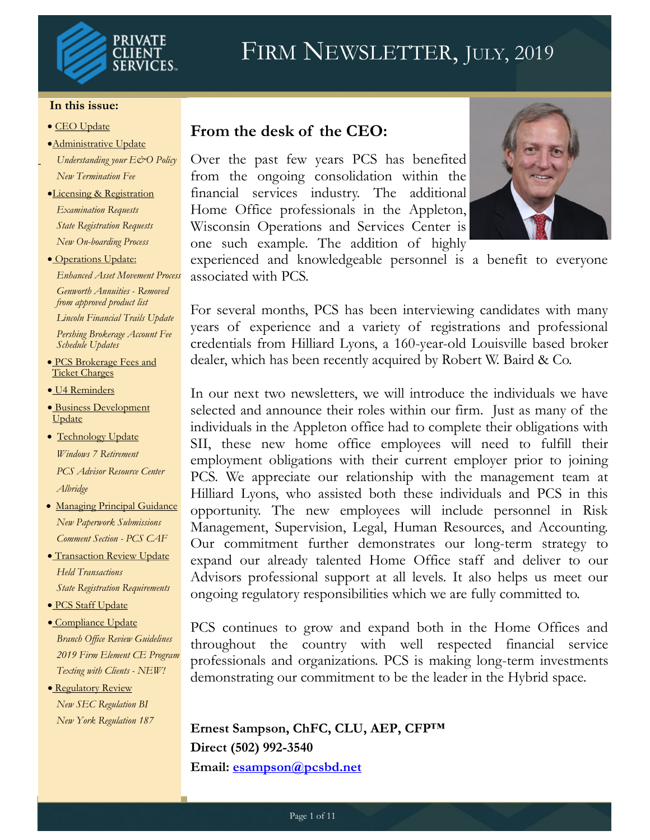

# FIRM NEWSLETTER, JULY, 2019

#### **In this issue:**

- CEO Update
- Administrative Update
- *Understanding your E&O Policy New Termination Fee*
- Licensing & Registration *Examination Requests State Registration Requests New On-boarding Process*
- **Operations Update:** *Enhanced Asset Movement Process*

*Genworth Annuities - Removed from approved product list*

*Lincoln Financial Trails Update Pershing Brokerage Account Fee Schedule Updates*

- PCS Brokerage Fees and Ticket Charges
- **U4 Reminders**
- **Business Development Update**
- Technology Update *Windows 7 Retirement PCS Advisor Resource Center Albridge*
- · Managing Principal Guidance *New Paperwork Submissions Comment Section - PCS CAF*
- **Transaction Review Update** *Held Transactions State Registration Requirements*
- PCS Staff Update
- Compliance Update *Branch Office Review Guidelines 2019 Firm Element CE Program Texting with Clients - NEW!*
- Regulatory Review *New SEC Regulation BI New York Regulation 187*

#### **From the desk of the CEO:**

Over the past few years PCS has benefited from the ongoing consolidation within the financial services industry. The additional Home Office professionals in the Appleton, Wisconsin Operations and Services Center is one such example. The addition of highly



experienced and knowledgeable personnel is a benefit to everyone associated with PCS.

For several months, PCS has been interviewing candidates with many years of experience and a variety of registrations and professional credentials from Hilliard Lyons, a 160-year-old Louisville based broker dealer, which has been recently acquired by Robert W. Baird & Co.

In our next two newsletters, we will introduce the individuals we have selected and announce their roles within our firm. Just as many of the individuals in the Appleton office had to complete their obligations with SII, these new home office employees will need to fulfill their employment obligations with their current employer prior to joining PCS. We appreciate our relationship with the management team at Hilliard Lyons, who assisted both these individuals and PCS in this opportunity. The new employees will include personnel in Risk Management, Supervision, Legal, Human Resources, and Accounting. Our commitment further demonstrates our long-term strategy to expand our already talented Home Office staff and deliver to our Advisors professional support at all levels. It also helps us meet our ongoing regulatory responsibilities which we are fully committed to.

PCS continues to grow and expand both in the Home Offices and throughout the country with well respected financial service professionals and organizations. PCS is making long-term investments demonstrating our commitment to be the leader in the Hybrid space.

**Ernest Sampson, ChFC, CLU, AEP, CFP™ Direct (502) 992-3540 Email: [esampson@pcsbd.net](mailto:esampson@pcsbd.net)**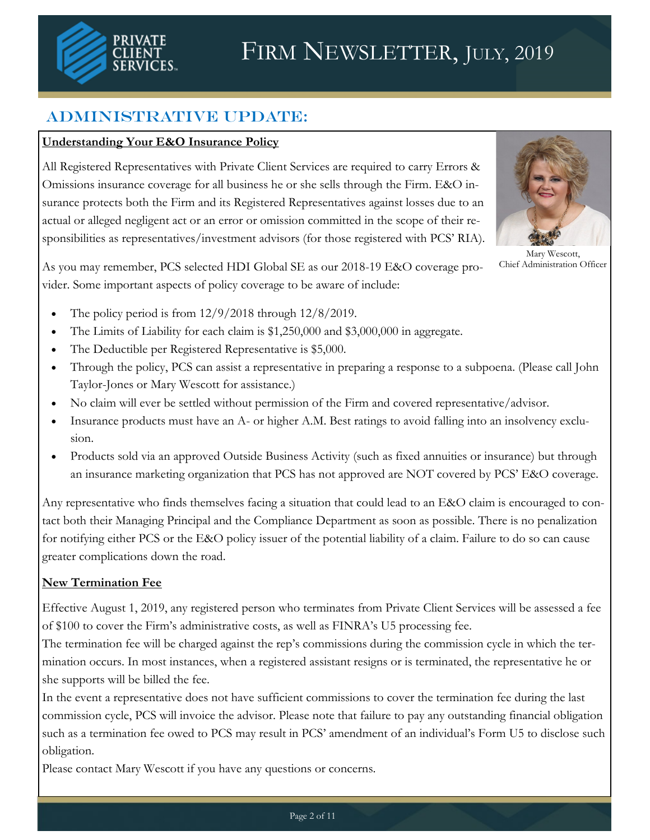

## Administrative Update:

#### **Understanding Your E&O Insurance Policy**

All Registered Representatives with Private Client Services are required to carry Errors & Omissions insurance coverage for all business he or she sells through the Firm. E&O insurance protects both the Firm and its Registered Representatives against losses due to an actual or alleged negligent act or an error or omission committed in the scope of their responsibilities as representatives/investment advisors (for those registered with PCS' RIA).



Mary Wescott, Chief Administration Officer

As you may remember, PCS selected HDI Global SE as our 2018-19 E&O coverage provider. Some important aspects of policy coverage to be aware of include:

- The policy period is from 12/9/2018 through 12/8/2019.
- The Limits of Liability for each claim is \$1,250,000 and \$3,000,000 in aggregate.
- The Deductible per Registered Representative is \$5,000.
- Through the policy, PCS can assist a representative in preparing a response to a subpoena. (Please call John Taylor-Jones or Mary Wescott for assistance.)
- No claim will ever be settled without permission of the Firm and covered representative/advisor.
- Insurance products must have an A- or higher A.M. Best ratings to avoid falling into an insolvency exclusion.
- Products sold via an approved Outside Business Activity (such as fixed annuities or insurance) but through an insurance marketing organization that PCS has not approved are NOT covered by PCS' E&O coverage.

Any representative who finds themselves facing a situation that could lead to an E&O claim is encouraged to contact both their Managing Principal and the Compliance Department as soon as possible. There is no penalization for notifying either PCS or the E&O policy issuer of the potential liability of a claim. Failure to do so can cause greater complications down the road.

#### **New Termination Fee**

Effective August 1, 2019, any registered person who terminates from Private Client Services will be assessed a fee of \$100 to cover the Firm's administrative costs, as well as FINRA's U5 processing fee.

The termination fee will be charged against the rep's commissions during the commission cycle in which the termination occurs. In most instances, when a registered assistant resigns or is terminated, the representative he or she supports will be billed the fee.

In the event a representative does not have sufficient commissions to cover the termination fee during the last commission cycle, PCS will invoice the advisor. Please note that failure to pay any outstanding financial obligation such as a termination fee owed to PCS may result in PCS' amendment of an individual's Form U5 to disclose such obligation.

Please contact Mary Wescott if you have any questions or concerns.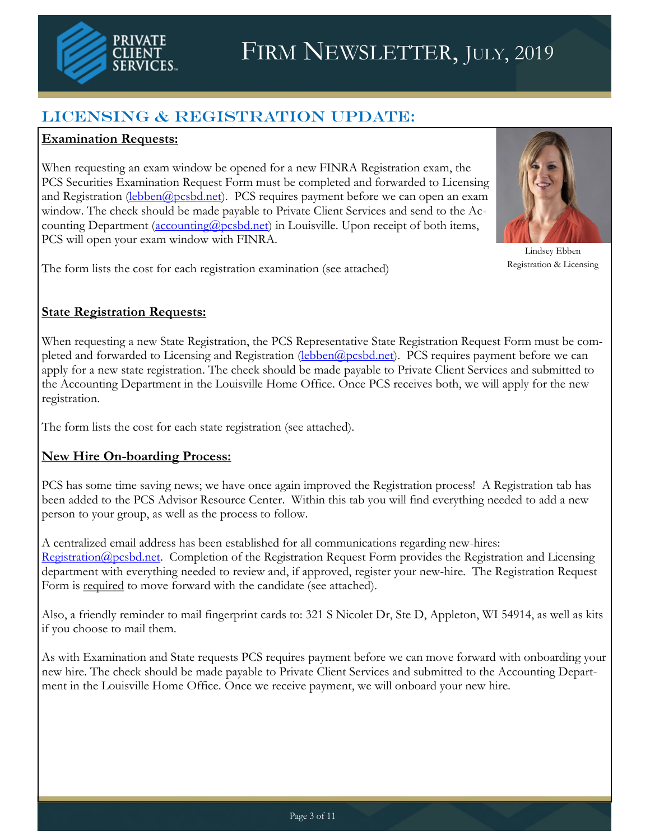

# FIRM NEWSLETTER, JULY, 2019

## LICENSING & REGISTRATION UPDATE:

#### **Examination Requests:**

When requesting an exam window be opened for a new FINRA Registration exam, the PCS Securities Examination Request Form must be completed and forwarded to Licensing and Registration ([lebben@pcsbd.net\)](mailto:lebben@pcsbd.net). PCS requires payment before we can open an exam window. The check should be made payable to Private Client Services and send to the Accounting Department (accounting @pcsbd.net) in Louisville. Upon receipt of both items, PCS will open your exam window with FINRA.



Lindsey Ebben Registration & Licensing

The form lists the cost for each registration examination (see attached)

#### **State Registration Requests:**

When requesting a new State Registration, the PCS Representative State Registration Request Form must be completed and forwarded to Licensing and Registration ([lebben@pcsbd.net\)](mailto:lebben@pcsbd.net). PCS requires payment before we can apply for a new state registration. The check should be made payable to Private Client Services and submitted to the Accounting Department in the Louisville Home Office. Once PCS receives both, we will apply for the new registration.

The form lists the cost for each state registration (see attached).

#### **New Hire On-boarding Process:**

PCS has some time saving news; we have once again improved the Registration process! A Registration tab has been added to the PCS Advisor Resource Center. Within this tab you will find everything needed to add a new person to your group, as well as the process to follow.

A centralized email address has been established for all communications regarding new-hires: [Registration@pcsbd.net.](mailto:Registration@pcsbd.net) Completion of the Registration Request Form provides the Registration and Licensing department with everything needed to review and, if approved, register your new-hire. The Registration Request Form is required to move forward with the candidate (see attached).

Also, a friendly reminder to mail fingerprint cards to: 321 S Nicolet Dr, Ste D, Appleton, WI 54914, as well as kits if you choose to mail them.

As with Examination and State requests PCS requires payment before we can move forward with onboarding your new hire. The check should be made payable to Private Client Services and submitted to the Accounting Department in the Louisville Home Office. Once we receive payment, we will onboard your new hire.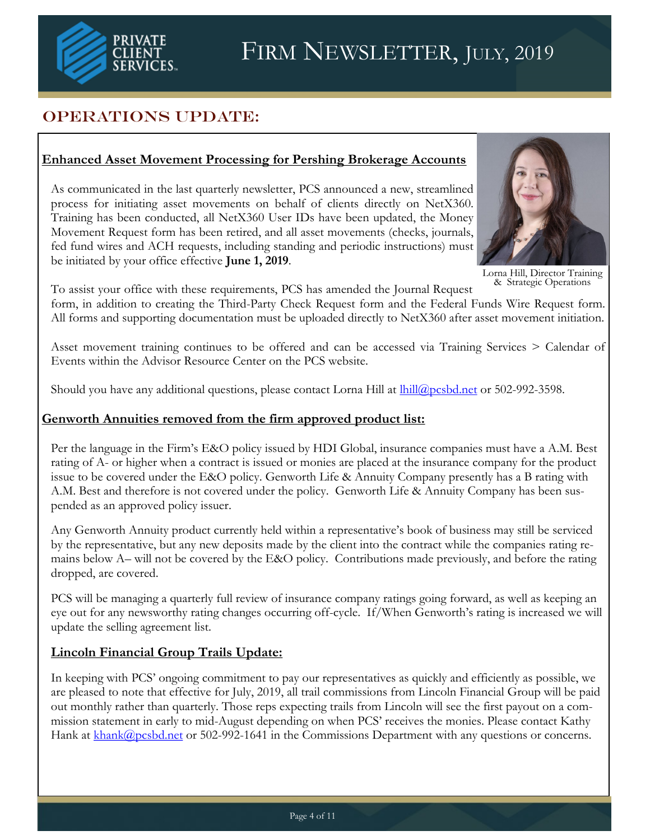

## OPERATIONS UPDATE:

#### **Enhanced Asset Movement Processing for Pershing Brokerage Accounts**

As communicated in the last quarterly newsletter, PCS announced a new, streamlined process for initiating asset movements on behalf of clients directly on NetX360. Training has been conducted, all NetX360 User IDs have been updated, the Money Movement Request form has been retired, and all asset movements (checks, journals, fed fund wires and ACH requests, including standing and periodic instructions) must be initiated by your office effective **June 1, 2019**.



Lorna Hill, Director Training & Strategic Operations

To assist your office with these requirements, PCS has amended the Journal Request form, in addition to creating the Third-Party Check Request form and the Federal Funds Wire Request form. All forms and supporting documentation must be uploaded directly to NetX360 after asset movement initiation.

Asset movement training continues to be offered and can be accessed via Training Services > Calendar of Events within the Advisor Resource Center on the PCS website.

Should you have any additional questions, please contact Lorna Hill at  $\frac{1}{\text{hill}\omega\rho\text{csbd.net}}$  or 502-992-3598.

#### **Genworth Annuities removed from the firm approved product list:**

Per the language in the Firm's E&O policy issued by HDI Global, insurance companies must have a A.M. Best rating of A- or higher when a contract is issued or monies are placed at the insurance company for the product issue to be covered under the E&O policy. Genworth Life & Annuity Company presently has a B rating with A.M. Best and therefore is not covered under the policy. Genworth Life & Annuity Company has been suspended as an approved policy issuer.

Any Genworth Annuity product currently held within a representative's book of business may still be serviced by the representative, but any new deposits made by the client into the contract while the companies rating remains below A– will not be covered by the E&O policy. Contributions made previously, and before the rating dropped, are covered.

PCS will be managing a quarterly full review of insurance company ratings going forward, as well as keeping an eye out for any newsworthy rating changes occurring off-cycle. If/When Genworth's rating is increased we will update the selling agreement list.

#### **Lincoln Financial Group Trails Update:**

In keeping with PCS' ongoing commitment to pay our representatives as quickly and efficiently as possible, we are pleased to note that effective for July, 2019, all trail commissions from Lincoln Financial Group will be paid out monthly rather than quarterly. Those reps expecting trails from Lincoln will see the first payout on a commission statement in early to mid-August depending on when PCS' receives the monies. Please contact Kathy Hank at [khank@pcsbd.net](mailto:khank@pcsbd.net) or 502-992-1641 in the Commissions Department with any questions or concerns.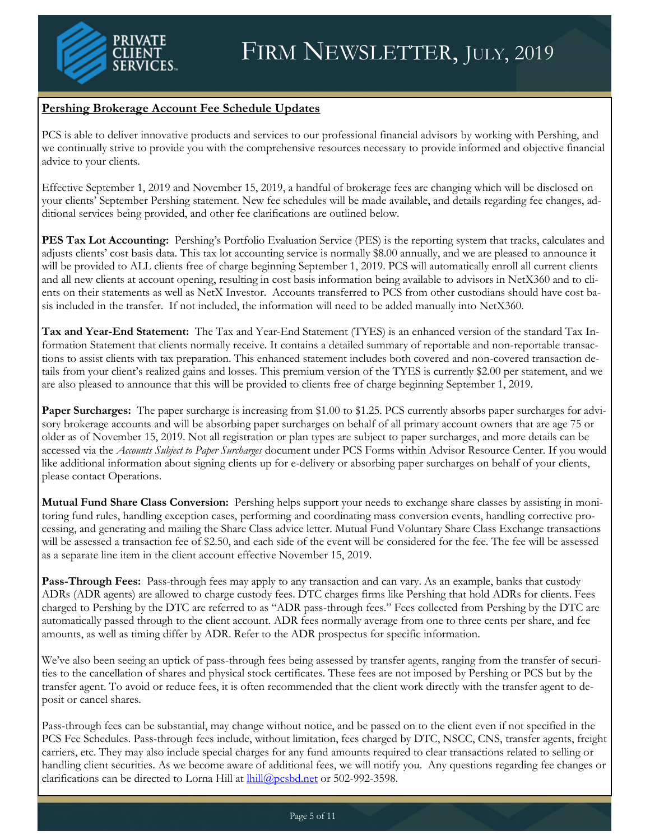

#### **Pershing Brokerage Account Fee Schedule Updates**

PCS is able to deliver innovative products and services to our professional financial advisors by working with Pershing, and we continually strive to provide you with the comprehensive resources necessary to provide informed and objective financial advice to your clients.

Effective September 1, 2019 and November 15, 2019, a handful of brokerage fees are changing which will be disclosed on your clients' September Pershing statement. New fee schedules will be made available, and details regarding fee changes, additional services being provided, and other fee clarifications are outlined below.

**PES Tax Lot Accounting:** Pershing's Portfolio Evaluation Service (PES) is the reporting system that tracks, calculates and adjusts clients' cost basis data. This tax lot accounting service is normally \$8.00 annually, and we are pleased to announce it will be provided to ALL clients free of charge beginning September 1, 2019. PCS will automatically enroll all current clients and all new clients at account opening, resulting in cost basis information being available to advisors in NetX360 and to clients on their statements as well as NetX Investor. Accounts transferred to PCS from other custodians should have cost basis included in the transfer. If not included, the information will need to be added manually into NetX360.

**Tax and Year-End Statement:** The Tax and Year-End Statement (TYES) is an enhanced version of the standard Tax Information Statement that clients normally receive. It contains a detailed summary of reportable and non-reportable transactions to assist clients with tax preparation. This enhanced statement includes both covered and non-covered transaction details from your client's realized gains and losses. This premium version of the TYES is currently \$2.00 per statement, and we are also pleased to announce that this will be provided to clients free of charge beginning September 1, 2019.

**Paper Surcharges:** The paper surcharge is increasing from \$1.00 to \$1.25. PCS currently absorbs paper surcharges for advisory brokerage accounts and will be absorbing paper surcharges on behalf of all primary account owners that are age 75 or older as of November 15, 2019. Not all registration or plan types are subject to paper surcharges, and more details can be accessed via the *Accounts Subject to Paper Surcharges* document under PCS Forms within Advisor Resource Center. If you would like additional information about signing clients up for e-delivery or absorbing paper surcharges on behalf of your clients, please contact Operations.

**Mutual Fund Share Class Conversion:** Pershing helps support your needs to exchange share classes by assisting in monitoring fund rules, handling exception cases, performing and coordinating mass conversion events, handling corrective processing, and generating and mailing the Share Class advice letter. Mutual Fund Voluntary Share Class Exchange transactions will be assessed a transaction fee of \$2.50, and each side of the event will be considered for the fee. The fee will be assessed as a separate line item in the client account effective November 15, 2019.

**Pass-Through Fees:** Pass-through fees may apply to any transaction and can vary. As an example, banks that custody ADRs (ADR agents) are allowed to charge custody fees. DTC charges firms like Pershing that hold ADRs for clients. Fees charged to Pershing by the DTC are referred to as "ADR pass-through fees." Fees collected from Pershing by the DTC are automatically passed through to the client account. ADR fees normally average from one to three cents per share, and fee amounts, as well as timing differ by ADR. Refer to the ADR prospectus for specific information.

We've also been seeing an uptick of pass-through fees being assessed by transfer agents, ranging from the transfer of securities to the cancellation of shares and physical stock certificates. These fees are not imposed by Pershing or PCS but by the transfer agent. To avoid or reduce fees, it is often recommended that the client work directly with the transfer agent to deposit or cancel shares.

Pass-through fees can be substantial, may change without notice, and be passed on to the client even if not specified in the PCS Fee Schedules. Pass-through fees include, without limitation, fees charged by DTC, NSCC, CNS, transfer agents, freight carriers, etc. They may also include special charges for any fund amounts required to clear transactions related to selling or handling client securities. As we become aware of additional fees, we will notify you. Any questions regarding fee changes or clarifications can be directed to Lorna Hill at *lhill@pcsbd.net* or 502-992-3598.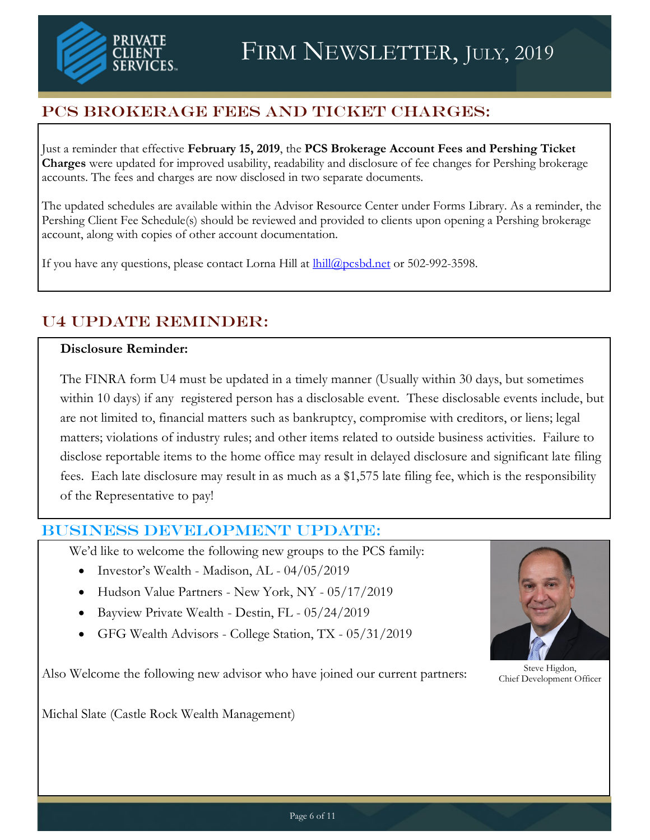

# PCS Brokerage Fees and Ticket Charges:

Just a reminder that effective **February 15, 2019**, the **PCS Brokerage Account Fees and Pershing Ticket Charges** were updated for improved usability, readability and disclosure of fee changes for Pershing brokerage accounts. The fees and charges are now disclosed in two separate documents.

The updated schedules are available within the Advisor Resource Center under Forms Library. As a reminder, the Pershing Client Fee Schedule(s) should be reviewed and provided to clients upon opening a Pershing brokerage account, along with copies of other account documentation.

If you have any questions, please contact Lorna Hill at  $\frac{ \text{hill@pcsbd.net}}{ \text{in@pcsbd.net}}$  or 502-992-3598.

# U4 Update Reminder:

#### **Disclosure Reminder:**

The FINRA form U4 must be updated in a timely manner (Usually within 30 days, but sometimes within 10 days) if any registered person has a disclosable event. These disclosable events include, but are not limited to, financial matters such as bankruptcy, compromise with creditors, or liens; legal matters; violations of industry rules; and other items related to outside business activities. Failure to disclose reportable items to the home office may result in delayed disclosure and significant late filing fees. Each late disclosure may result in as much as a \$1,575 late filing fee, which is the responsibility of the Representative to pay!

#### Business Development UPDATE:

We'd like to welcome the following new groups to the PCS family:

- Investor's Wealth Madison, AL 04/05/2019
- Hudson Value Partners New York, NY 05/17/2019
- Bayview Private Wealth Destin, FL 05/24/2019
- GFG Wealth Advisors College Station, TX 05/31/2019



Steve Higdon, Chief Development Officer

Also Welcome the following new advisor who have joined our current partners:

Michal Slate (Castle Rock Wealth Management)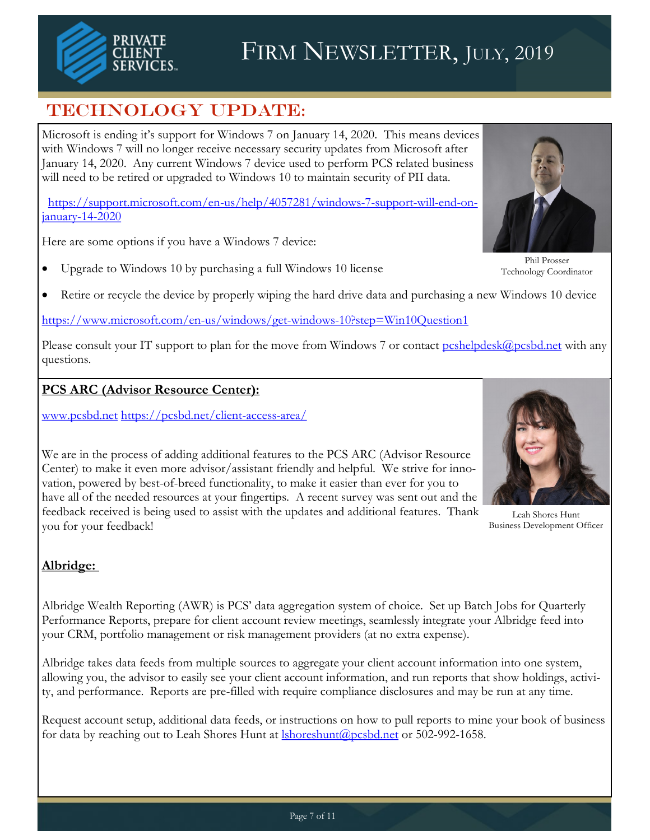

# TECHNOLOGY UPDATE:

Microsoft is ending it's support for Windows 7 on January 14, 2020. This means devices with Windows 7 will no longer receive necessary security updates from Microsoft after January 14, 2020. Any current Windows 7 device used to perform PCS related business will need to be retired or upgraded to Windows 10 to maintain security of PII data.

[https://support.microsoft.com/en-us/help/4057281/windows-7-support-will-end-on](https://support.microsoft.com/en-us/help/4057281/windows-7-support-will-end-on-january-14-2020)[january-14-2020](https://support.microsoft.com/en-us/help/4057281/windows-7-support-will-end-on-january-14-2020)

Here are some options if you have a Windows 7 device:

Upgrade to Windows 10 by purchasing a full Windows 10 license



Technology Coordinator

Retire or recycle the device by properly wiping the hard drive data and purchasing a new Windows 10 device

<https://www.microsoft.com/en-us/windows/get-windows-10?step=Win10Question1>

Please consult your IT support to plan for the move from Windows 7 or contact [pcshelpdesk@pcsbd.net](mailto:pcshelpdesk@pcsbd.net) with any questions.

#### **PCS ARC (Advisor Resource Center):**

[www.pcsbd.net](http://www.pcsbd.net) <https://pcsbd.net/client-access-area/>



Leah Shores Hunt Business Development Officer

#### Center) to make it even more advisor/assistant friendly and helpful. We strive for innovation, powered by best-of-breed functionality, to make it easier than ever for you to have all of the needed resources at your fingertips. A recent survey was sent out and the feedback received is being used to assist with the updates and additional features. Thank you for your feedback!

We are in the process of adding additional features to the PCS ARC (Advisor Resource

#### **Albridge:**

Albridge Wealth Reporting (AWR) is PCS' data aggregation system of choice. Set up Batch Jobs for Quarterly Performance Reports, prepare for client account review meetings, seamlessly integrate your Albridge feed into your CRM, portfolio management or risk management providers (at no extra expense).

Albridge takes data feeds from multiple sources to aggregate your client account information into one system, allowing you, the advisor to easily see your client account information, and run reports that show holdings, activity, and performance. Reports are pre-filled with require compliance disclosures and may be run at any time.

Request account setup, additional data feeds, or instructions on how to pull reports to mine your book of business for data by reaching out to Leah Shores Hunt at **Ishoreshunt** @pcsbd.net or 502-992-1658.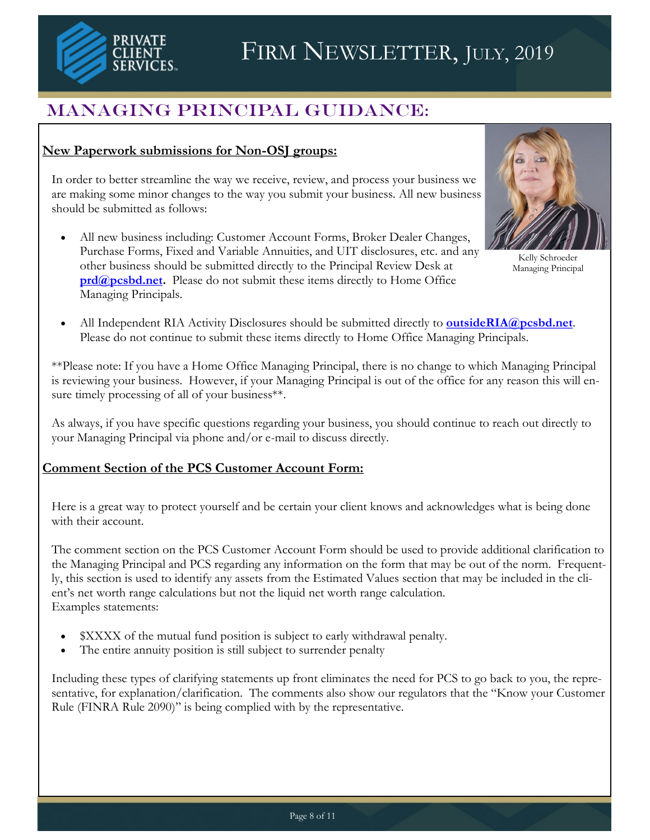

# FIRM NEWSLETTER, JULY, 2019

# Managing Principal Guidance:

#### **New Paperwork submissions for Non-OSJ groups:**

In order to better streamline the way we receive, review, and process your business we are making some minor changes to the way you submit your business. All new business should be submitted as follows:

 All new business including: Customer Account Forms, Broker Dealer Changes, Purchase Forms, Fixed and Variable Annuities, and UIT disclosures, etc. and any other business should be submitted directly to the Principal Review Desk at **[prd@pcsbd.net.](mailto:prd@pcsbd.net)** Please do not submit these items directly to Home Office Managing Principals.



Kelly Schroeder Managing Principal

 All Independent RIA Activity Disclosures should be submitted directly to **[outsideRIA@pcsbd.net](mailto:OutsideRIA@pcsbd.net)**. Please do not continue to submit these items directly to Home Office Managing Principals.

\*\*Please note: If you have a Home Office Managing Principal, there is no change to which Managing Principal is reviewing your business. However, if your Managing Principal is out of the office for any reason this will ensure timely processing of all of your business\*\*.

As always, if you have specific questions regarding your business, you should continue to reach out directly to your Managing Principal via phone and/or e-mail to discuss directly.

#### **Comment Section of the PCS Customer Account Form:**

Here is a great way to protect yourself and be certain your client knows and acknowledges what is being done with their account.

The comment section on the PCS Customer Account Form should be used to provide additional clarification to the Managing Principal and PCS regarding any information on the form that may be out of the norm. Frequently, this section is used to identify any assets from the Estimated Values section that may be included in the client's net worth range calculations but not the liquid net worth range calculation. Examples statements:

- \$XXXX of the mutual fund position is subject to early withdrawal penalty.
- The entire annuity position is still subject to surrender penalty

Including these types of clarifying statements up front eliminates the need for PCS to go back to you, the representative, for explanation/clarification. The comments also show our regulators that the "Know your Customer Rule (FINRA Rule 2090)" is being complied with by the representative.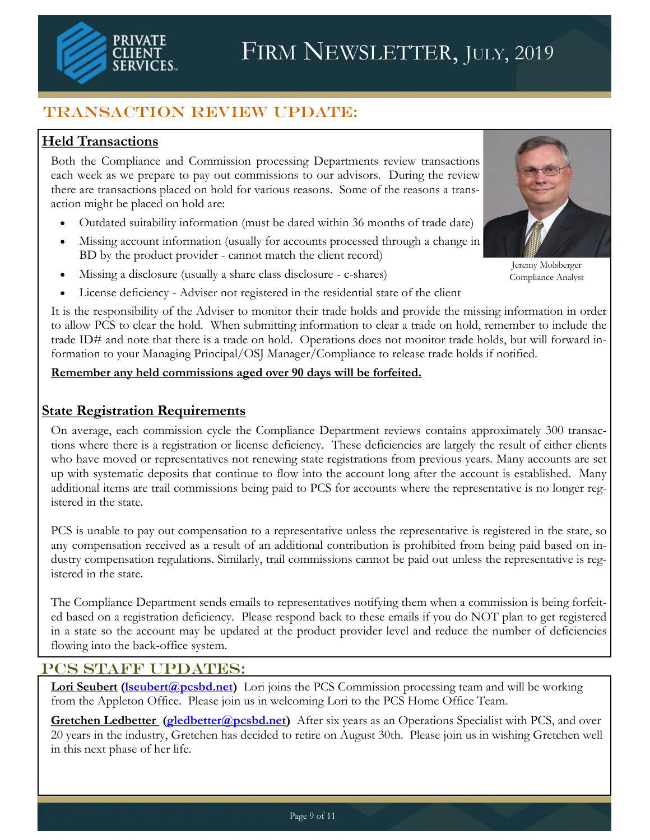# Transaction Review Update:

### **Held Transactions**

PRIVATE

Both the Compliance and Commission processing Departments review transactions each week as we prepare to pay out commissions to our advisors. During the review there are transactions placed on hold for various reasons. Some of the reasons a transaction might be placed on hold are:

- Outdated suitability information (must be dated within 36 months of trade date)
- Missing account information (usually for accounts processed through a change in BD by the product provider - cannot match the client record)
- Missing a disclosure (usually a share class disclosure c-shares)
- License deficiency Adviser not registered in the residential state of the client

It is the responsibility of the Adviser to monitor their trade holds and provide the missing information in order to allow PCS to clear the hold. When submitting information to clear a trade on hold, remember to include the trade ID# and note that there is a trade on hold. Operations does not monitor trade holds, but will forward information to your Managing Principal/OSJ Manager/Compliance to release trade holds if notified.

#### **Remember any held commissions aged over 90 days will be forfeited.**

#### **State Registration Requirements**

On average, each commission cycle the Compliance Department reviews contains approximately 300 transactions where there is a registration or license deficiency. These deficiencies are largely the result of either clients who have moved or representatives not renewing state registrations from previous years. Many accounts are set up with systematic deposits that continue to flow into the account long after the account is established. Many additional items are trail commissions being paid to PCS for accounts where the representative is no longer registered in the state.

PCS is unable to pay out compensation to a representative unless the representative is registered in the state, so any compensation received as a result of an additional contribution is prohibited from being paid based on industry compensation regulations. Similarly, trail commissions cannot be paid out unless the representative is registered in the state.

The Compliance Department sends emails to representatives notifying them when a commission is being forfeited based on a registration deficiency. Please respond back to these emails if you do NOT plan to get registered in a state so the account may be updated at the product provider level and reduce the number of deficiencies flowing into the back-office system.

### PCS STAFF UPDATES:

**Lori Seubert (Iseubert@pcsbd.net)** Lori joins the PCS Commission processing team and will be working from the Appleton Office. Please join us in welcoming Lori to the PCS Home Office Team.

**Gretchen Ledbetter (gledbetter@pcsbd.net)** After six years as an Operations Specialist with PCS, and over 20 years in the industry, Gretchen has decided to retire on August 30th. Please join us in wishing Gretchen well in this next phase of her life.



Jeremy Molsberger Compliance Analyst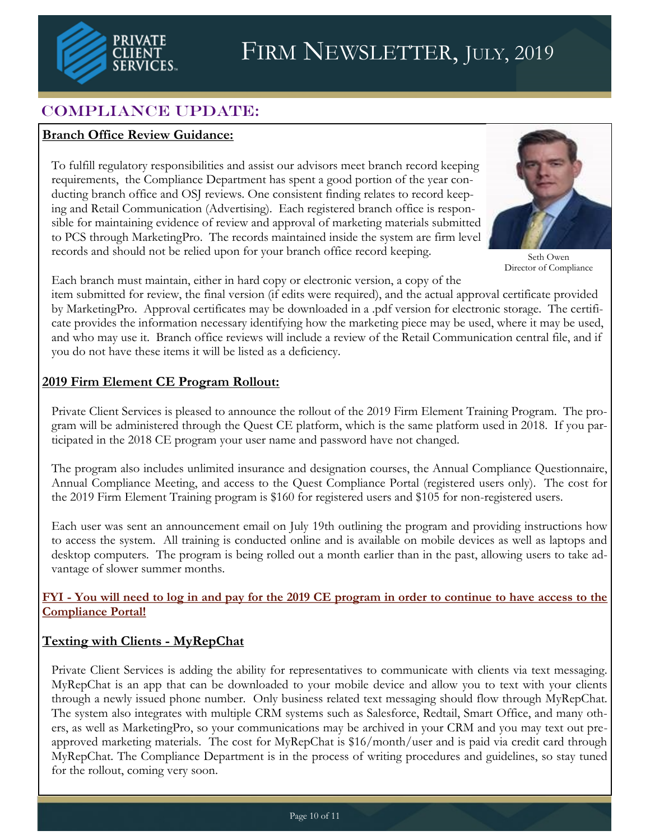

# COMPLIANCE UPDATE:

#### **Branch Office Review Guidance:**

To fulfill regulatory responsibilities and assist our advisors meet branch record keeping requirements, the Compliance Department has spent a good portion of the year conducting branch office and OSJ reviews. One consistent finding relates to record keeping and Retail Communication (Advertising). Each registered branch office is responsible for maintaining evidence of review and approval of marketing materials submitted to PCS through MarketingPro. The records maintained inside the system are firm level records and should not be relied upon for your branch office record keeping.



Seth Owen Director of Compliance

Each branch must maintain, either in hard copy or electronic version, a copy of the

item submitted for review, the final version (if edits were required), and the actual approval certificate provided by MarketingPro. Approval certificates may be downloaded in a .pdf version for electronic storage. The certificate provides the information necessary identifying how the marketing piece may be used, where it may be used, and who may use it. Branch office reviews will include a review of the Retail Communication central file, and if you do not have these items it will be listed as a deficiency.

#### **2019 Firm Element CE Program Rollout:**

Private Client Services is pleased to announce the rollout of the 2019 Firm Element Training Program. The program will be administered through the Quest CE platform, which is the same platform used in 2018. If you participated in the 2018 CE program your user name and password have not changed.

The program also includes unlimited insurance and designation courses, the Annual Compliance Questionnaire, Annual Compliance Meeting, and access to the Quest Compliance Portal (registered users only). The cost for the 2019 Firm Element Training program is \$160 for registered users and \$105 for non-registered users.

Each user was sent an announcement email on July 19th outlining the program and providing instructions how to access the system. All training is conducted online and is available on mobile devices as well as laptops and desktop computers. The program is being rolled out a month earlier than in the past, allowing users to take advantage of slower summer months.

**FYI - You will need to log in and pay for the 2019 CE program in order to continue to have access to the Compliance Portal!**

### **Texting with Clients - MyRepChat**

Private Client Services is adding the ability for representatives to communicate with clients via text messaging. MyRepChat is an app that can be downloaded to your mobile device and allow you to text with your clients through a newly issued phone number. Only business related text messaging should flow through MyRepChat. The system also integrates with multiple CRM systems such as Salesforce, Redtail, Smart Office, and many others, as well as MarketingPro, so your communications may be archived in your CRM and you may text out preapproved marketing materials. The cost for MyRepChat is \$16/month/user and is paid via credit card through MyRepChat. The Compliance Department is in the process of writing procedures and guidelines, so stay tuned for the rollout, coming very soon.